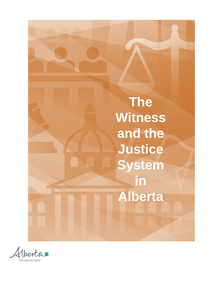

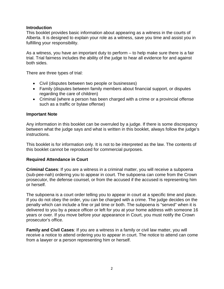## **Introduction**

This booklet provides basic information about appearing as a witness in the courts of Alberta. It is designed to explain your role as a witness, save you time and assist you in fulfilling your responsibility.

As a witness, you have an important duty to perform – to help make sure there is a fair trial. Trial fairness includes the ability of the judge to hear all evidence for and against both sides.

There are three types of trial:

- Civil (disputes between two people or businesses)
- Family (disputes between family members about financial support, or disputes regarding the care of children)
- Criminal (where a person has been charged with a crime or a provincial offense such as a traffic or bylaw offense)

### **Important Note**

Any information in this booklet can be overruled by a judge. If there is some discrepancy between what the judge says and what is written in this booklet, always follow the judge's instructions.

This booklet is for information only. It is not to be interpreted as the law. The contents of this booklet cannot be reproduced for commercial purposes.

### **Required Attendance in Court**

**Criminal Cases**: If you are a witness in a criminal matter, you will receive a subpoena (sub-pee-nah) ordering you to appear in court. The subpoena can come from the Crown prosecutor, the defense counsel, or from the accused if the accused is representing him or herself.

The subpoena is a court order telling you to appear in court at a specific time and place. If you do not obey the order, you can be charged with a crime. The judge decides on the penalty which can include a fine or jail time or both. The subpoena is "served" when it is delivered to you by a peace officer or left for you at your home address with someone 16 years or over. If you move before your appearance in Court, you must notify the Crown prosecutor's office.

**Family and Civil Cases**: If you are a witness in a family or civil law matter, you will receive a notice to attend ordering you to appear in court. The notice to attend can come from a lawyer or a person representing him or herself.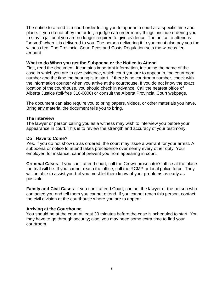The notice to attend is a court order telling you to appear in court at a specific time and place. If you do not obey the order, a judge can order many things, include ordering you to stay in jail until you are no longer required to give evidence. The notice to attend is "served" when it is delivered to you. The person delivering it to you must also pay you the witness fee. The Provincial Court Fees and Costs Regulation sets the witness fee amount.

#### **What to do When you get the Subpoena or the Notice to Attend**

First, read the document. It contains important information, including the name of the case in which you are to give evidence, which court you are to appear in, the courtroom number and the time the hearing is to start. If there is no courtroom number, check with the information counter when you arrive at the courthouse. If you do not know the exact location of the courthouse, you should check in advance. Call the nearest office of Alberta Justice (toll-free 310-0000) or consult the Alberta Provincial Court webpage.

The document can also require you to bring papers, videos, or other materials you have. Bring any material the document tells you to bring.

### **The interview**

The lawyer or person calling you as a witness may wish to interview you before your appearance in court. This is to review the strength and accuracy of your testimony.

### **Do I Have to Come?**

Yes. If you do not show up as ordered, the court may issue a warrant for your arrest. A subpoena or notice to attend takes precedence over nearly every other duty. Your employer, for instance, cannot prevent you from appearing in court.

**Criminal Cases**: If you can't attend court, call the Crown prosecutor's office at the place the trial will be. If you cannot reach the office, call the RCMP or local police force. They will be able to assist you but you must let them know of your problems as early as possible.

**Family and Civil Cases**: If you can't attend Court, contact the lawyer or the person who contacted you and tell them you cannot attend. If you cannot reach this person, contact the civil division at the courthouse where you are to appear.

### **Arriving at the Courthouse**

You should be at the court at least 30 minutes before the case is scheduled to start. You may have to go through security; also, you may need some extra time to find your courtroom.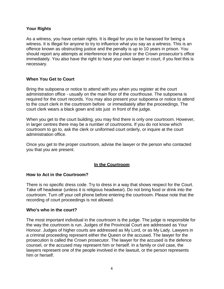# **Your Rights**

As a witness, you have certain rights. It is illegal for you to be harassed for being a witness. It is illegal for anyone to try to influence what you say as a witness. This is an offence known as obstructing justice and the penalty is up to 10 years in prison. You should report any attempts at interference to the police or the Crown prosecutor's office immediately. You also have the right to have your own lawyer in court, if you feel this is necessary.

# **When You Get to Court**

Bring the subpoena or notice to attend with you when you register at the court administration office - usually on the main floor of the courthouse. The subpoena is required for the court records. You may also present your subpoena or notice to attend to the court clerk in the courtroom before or immediately after the proceedings. The court clerk wears a black gown and sits just in front of the judge.

When you get to the court building, you may find there is only one courtroom. However, in larger centres there may be a number of courtrooms. If you do not know which courtroom to go to, ask the clerk or uniformed court orderly, or inquire at the court administration office.

Once you get to the proper courtroom, advise the lawyer or the person who contacted you that you are present.

### **In the Courtroom**

### **How to Act in the Courtroom?**

There is no specific dress code. Try to dress in a way that shows respect for the Court. Take off headwear (unless it is religious headwear). Do not bring food or drink into the courtroom. Turn off your cell phone before entering the courtroom. Please note that the recording of court proceedings is not allowed.

### **Who's who in the court?**

The most important individual in the courtroom is the judge. The judge is responsible for the way the courtroom is run. Judges of the Provincial Court are addressed as Your Honour. Judges of higher courts are addressed as My Lord, or as My Lady. Lawyers in a criminal proceeding represent either the Queen or the accused. The lawyer for the prosecution is called the Crown prosecutor. The lawyer for the accused is the defence counsel, or the accused may represent him or herself. In a family or civil case, the lawyers represent one of the people involved in the lawsuit, or the person represents him or herself.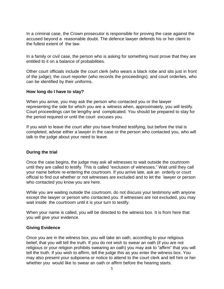In a criminal case, the Crown prosecutor is responsible for proving the case against the accused beyond a reasonable doubt. The defence lawyer defends his or her client to the fullest extent of the law.

In a family or civil case, the person who is asking for something must prove that they are entitled to it on a balance of probabilities.

Other court officials include the court clerk (who wears a black robe and sits just in front of the judge); the court reporter (who records the proceedings); and court orderlies, who can be identified by their uniforms.

### **How long do I have to stay?**

When you arrive, you may ask the person who contacted you or the lawyer representing the side for which you are a witness when, approximately, you will testify. Court proceedings can be lengthy and complicated. You should be prepared to stay for the period required or until the court excuses you.

If you wish to leave the court after you have finished testifying, but before the trial is completed, advise either a lawyer in the case or the person who contacted you, who will talk to the judge about your need to leave.

### **During the trial**

Once the case begins, the judge may ask all witnesses to wait outside the courtroom until they are called to testify. This is called "exclusion of witnesses." Wait until they call your name before re-entering the courtroom. If you arrive late, ask an orderly or court official to find out whether or not witnesses are excluded and to let the lawyer or person who contacted you know you are here.

While you are waiting outside the courtroom, do not discuss your testimony with anyone except the lawyer or person who contacted you. If witnesses are not excluded, you may wait inside the courtroom until it is your turn to testify.

When your name is called, you will be directed to the witness box. It is from here that you will give your evidence.

#### **Giving Evidence**

Once you are in the witness box, you will take an oath, according to your religious belief, that you will tell the truth. If you do not wish to swear an oath (if you are not religious or your religion prohibits swearing an oath) you may ask to "affirm" that you will tell the truth. If you wish to affirm, tell the judge this as you enter the witness box. You may also present your subpoena or notice to attend to the court clerk and tell him or her whether you would like to swear an oath or affirm before the hearing starts.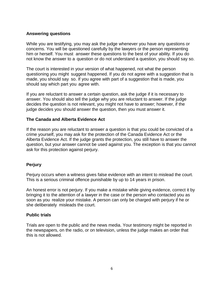### **Answering questions**

While you are testifying, you may ask the judge whenever you have any questions or concerns. You will be questioned carefully by the lawyers or the person representing him or herself. You must answer these questions to the best of your ability. If you do not know the answer to a question or do not understand a question, you should say so.

The court is interested in your version of what happened, not what the person questioning you might suggest happened. If you do not agree with a suggestion that is made, you should say so. If you agree with part of a suggestion that is made, you should say which part you agree with.

If you are reluctant to answer a certain question, ask the judge if it is necessary to answer. You should also tell the judge why you are reluctant to answer. If the judge decides the question is not relevant, you might not have to answer; however, if the judge decides you should answer the question, then you must answer it.

### **The Canada and Alberta Evidence Act**

If the reason you are reluctant to answer a question is that you could be convicted of a crime yourself, you may ask for the protection of the Canada Evidence Act or the Alberta Evidence Act. If the judge grants the protection, you still have to answer the question, but your answer cannot be used against you. The exception is that you cannot ask for this protection against perjury.

### **Perjury**

Perjury occurs when a witness gives false evidence with an intent to mislead the court. This is a serious criminal offence punishable by up to 14 years in prison.

An honest error is not perjury. If you make a mistake while giving evidence, correct it by bringing it to the attention of a lawyer in the case or the person who contacted you as soon as you realize your mistake. A person can only be charged with perjury if he or she deliberately misleads the court.

#### **Public trials**

Trials are open to the public and the news media. Your testimony might be reported in the newspapers, on the radio, or on television, unless the judge makes an order that this is not allowed.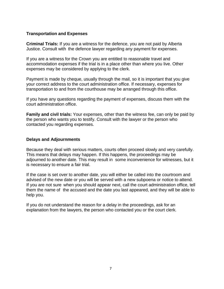## **Transportation and Expenses**

**Criminal Trials:** If you are a witness for the defence, you are not paid by Alberta Justice. Consult with the defence lawyer regarding any payment for expenses.

If you are a witness for the Crown you are entitled to reasonable travel and accommodation expenses if the trial is in a place other than where you live. Other expenses may be considered by applying to the clerk.

Payment is made by cheque, usually through the mail, so it is important that you give your correct address to the court administration office. If necessary, expenses for transportation to and from the courthouse may be arranged through this office.

If you have any questions regarding the payment of expenses, discuss them with the court administration office.

**Family and civil trials:** Your expenses, other than the witness fee, can only be paid by the person who wants you to testify. Consult with the lawyer or the person who contacted you regarding expenses.

### **Delays and Adjournments**

Because they deal with serious matters, courts often proceed slowly and very carefully. This means that delays may happen. If this happens, the proceedings may be adjourned to another date. This may result in some inconvenience for witnesses, but it is necessary to ensure a fair trial.

If the case is set over to another date, you will either be called into the courtroom and advised of the new date or you will be served with a new subpoena or notice to attend. If you are not sure when you should appear next, call the court administration office, tell them the name of the accused and the date you last appeared, and they will be able to help you.

If you do not understand the reason for a delay in the proceedings, ask for an explanation from the lawyers, the person who contacted you or the court clerk.